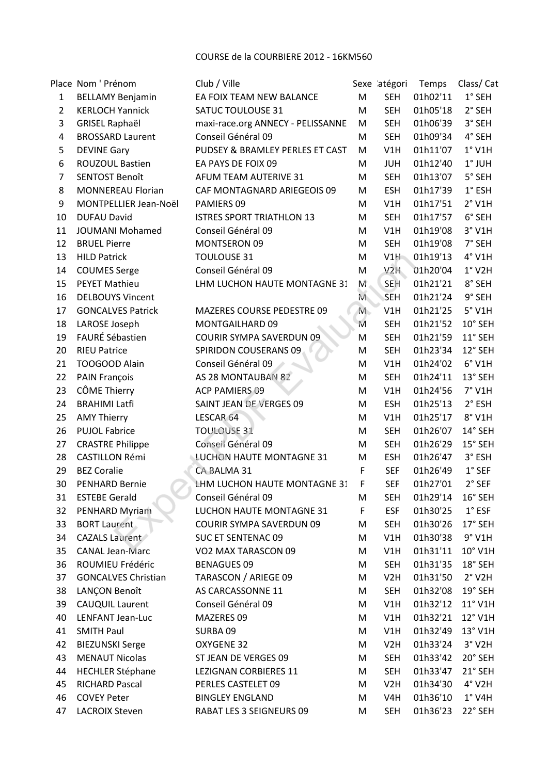COURSE de la COURBIERE 2012 - 16KM560

|                | Place Nom ' Prénom         | Club / Ville                      |             | Sexe atégori     | Temps    | Class/Cat             |
|----------------|----------------------------|-----------------------------------|-------------|------------------|----------|-----------------------|
| $\mathbf{1}$   | <b>BELLAMY Benjamin</b>    | EA FOIX TEAM NEW BALANCE          | M           | <b>SEH</b>       | 01h02'11 | $1°$ SEH              |
| $\overline{2}$ | <b>KERLOCH Yannick</b>     | SATUC TOULOUSE 31                 | M           | <b>SEH</b>       | 01h05'18 | 2° SEH                |
| 3              | <b>GRISEL Raphaël</b>      | maxi-race.org ANNECY - PELISSANNE | M           | <b>SEH</b>       | 01h06'39 | 3° SEH                |
| 4              | <b>BROSSARD Laurent</b>    | Conseil Général 09                | M           | <b>SEH</b>       | 01h09'34 | 4° SEH                |
| 5              | <b>DEVINE Gary</b>         | PUDSEY & BRAMLEY PERLES ET CAST   | M           | V1H              | 01h11'07 | $1°$ V1H              |
| 6              | ROUZOUL Bastien            | EA PAYS DE FOIX 09                | M           | <b>JUH</b>       | 01h12'40 | $1°$ JUH              |
| $\overline{7}$ | <b>SENTOST Benoît</b>      | AFUM TEAM AUTERIVE 31             | M           | <b>SEH</b>       | 01h13'07 | 5° SEH                |
| 8              | <b>MONNEREAU Florian</b>   | CAF MONTAGNARD ARIEGEOIS 09       | M           | <b>ESH</b>       | 01h17'39 | $1^\circ$ ESH         |
| 9              | MONTPELLIER Jean-Noël      | PAMIERS 09                        | M           | V1H              | 01h17'51 | $2°$ V1H              |
| 10             | <b>DUFAU David</b>         | <b>ISTRES SPORT TRIATHLON 13</b>  | M           | <b>SEH</b>       | 01h17'57 | 6° SEH                |
| 11             | <b>JOUMANI Mohamed</b>     | Conseil Général 09                | M           | V1H              | 01h19'08 | $3°$ V1H              |
| 12             | <b>BRUEL Pierre</b>        | <b>MONTSERON 09</b>               | M           | <b>SEH</b>       | 01h19'08 | 7° SEH                |
| 13             | <b>HILD Patrick</b>        | <b>TOULOUSE 31</b>                | M           | V1H              | 01h19'13 | 4° V1H                |
| 14             | <b>COUMES Serge</b>        | Conseil Général 09                | M           | V <sub>2H</sub>  | 01h20'04 | $1°$ V2H              |
| 15             | <b>PEYET Mathieu</b>       | LHM LUCHON HAUTE MONTAGNE 31      | M.          | SEH              | 01h21'21 | 8° SEH                |
| 16             | <b>DELBOUYS Vincent</b>    |                                   | M.          | SEH              | 01h21'24 | 9° SEH                |
| 17             | <b>GONCALVES Patrick</b>   | <b>MAZERES COURSE PEDESTRE 09</b> | $M_{\odot}$ | V1H              | 01h21'25 | $5°$ V1H              |
| 18             | LAROSE Joseph              | MONTGAILHARD 09                   | M           | <b>SEH</b>       | 01h21'52 | 10° SEH               |
| 19             | FAURÉ Sébastien            | <b>COURIR SYMPA SAVERDUN 09</b>   | M           | <b>SEH</b>       | 01h21'59 | 11° SEH               |
| 20             | <b>RIEU Patrice</b>        | SPIRIDON COUSERANS 09             | M           | <b>SEH</b>       | 01h23'34 | 12° SEH               |
| 21             | TOOGOOD Alain              | Conseil Général 09                | M           | V1H              | 01h24'02 | $6°$ V1H              |
| 22             | PAIN François              | AS 28 MONTAUBAN 82                | M           | <b>SEH</b>       | 01h24'11 | 13° SEH               |
| 23             | CÔME Thierry               | <b>ACP PAMIERS 09</b>             | M           | V1H              | 01h24'56 | $7°$ V1H              |
| 24             | <b>BRAHIMI Latfi</b>       | <b>SAINT JEAN DE VERGES 09</b>    | M           | <b>ESH</b>       | 01h25'13 | 2° ESH                |
| 25             | <b>AMY Thierry</b>         | LESCAR 64                         | M           | V1H              | 01h25'17 | 8° V1H                |
| 26             | <b>PUJOL Fabrice</b>       | <b>TOULOUSE 31</b>                | M           | <b>SEH</b>       | 01h26'07 | 14° SEH               |
| 27             | <b>CRASTRE Philippe</b>    | Conseil Général 09                | M           | <b>SEH</b>       | 01h26'29 | 15° SEH               |
| 28             | <b>CASTILLON Rémi</b>      | LUCHON HAUTE MONTAGNE 31          | M           | <b>ESH</b>       | 01h26'47 | 3° ESH                |
| 29             | <b>BEZ Coralie</b>         | CA BALMA 31                       | F           | <b>SEF</b>       | 01h26'49 | $1°$ SEF              |
| 30             | <b>PENHARD Bernie</b>      | LHM LUCHON HAUTE MONTAGNE 31      | F           | <b>SEF</b>       | 01h27'01 | 2° SEF                |
| 31             | <b>ESTEBE Gerald</b>       | Conseil Général 09                | M           | <b>SEH</b>       | 01h29'14 | 16° SEH               |
| 32             | PENHARD Myriam             | LUCHON HAUTE MONTAGNE 31          | F           | <b>ESF</b>       | 01h30'25 | $1^{\circ}$ ESF       |
| 33             | <b>BORT Laurent</b>        | <b>COURIR SYMPA SAVERDUN 09</b>   | M           | <b>SEH</b>       | 01h30'26 | 17° SEH               |
| 34             | <b>CAZALS Laurent</b>      | <b>SUC ET SENTENAC 09</b>         | M           | V1H              | 01h30'38 | $9°$ V1H              |
| 35             | <b>CANAL Jean-Marc</b>     | VO2 MAX TARASCON 09               | M           | V1H              | 01h31'11 | 10° V1H               |
| 36             | ROUMIEU Frédéric           | <b>BENAGUES 09</b>                | M           | <b>SEH</b>       | 01h31'35 | 18° SEH               |
| 37             | <b>GONCALVES Christian</b> | TARASCON / ARIEGE 09              | M           | V2H              | 01h31'50 | $2°$ V <sub>2</sub> H |
| 38             | LANÇON Benoît              | AS CARCASSONNE 11                 |             | <b>SEH</b>       | 01h32'08 | 19° SEH               |
|                |                            |                                   | M           |                  |          |                       |
| 39             | CAUQUIL Laurent            | Conseil Général 09                | M           | V1H              | 01h32'12 | $11^{\circ}$ V1H      |
| 40             | LENFANT Jean-Luc           | MAZERES 09                        | M           | V1H              | 01h32'21 | $12^{\circ}$ V1H      |
| 41             | <b>SMITH Paul</b>          | SURBA 09                          | M           | V1H              | 01h32'49 | 13° V1H               |
| 42             | <b>BIEZUNSKI Serge</b>     | OXYGENE 32                        | M           | V2H              | 01h33'24 | $3°$ V <sub>2</sub> H |
| 43             | <b>MENAUT Nicolas</b>      | ST JEAN DE VERGES 09              | M           | <b>SEH</b>       | 01h33'42 | 20° SEH               |
| 44             | <b>HECHLER Stéphane</b>    | LEZIGNAN CORBIERES 11             | M           | <b>SEH</b>       | 01h33'47 | 21° SEH               |
| 45             | RICHARD Pascal             | PERLES CASTELET 09                | M           | V2H              | 01h34'30 | $4°$ V2H              |
| 46             | <b>COVEY Peter</b>         | <b>BINGLEY ENGLAND</b>            | M           | V <sub>4</sub> H | 01h36'10 | $1^\circ$ V4H         |
| 47             | <b>LACROIX Steven</b>      | RABAT LES 3 SEIGNEURS 09          | M           | <b>SEH</b>       | 01h36'23 | 22° SEH               |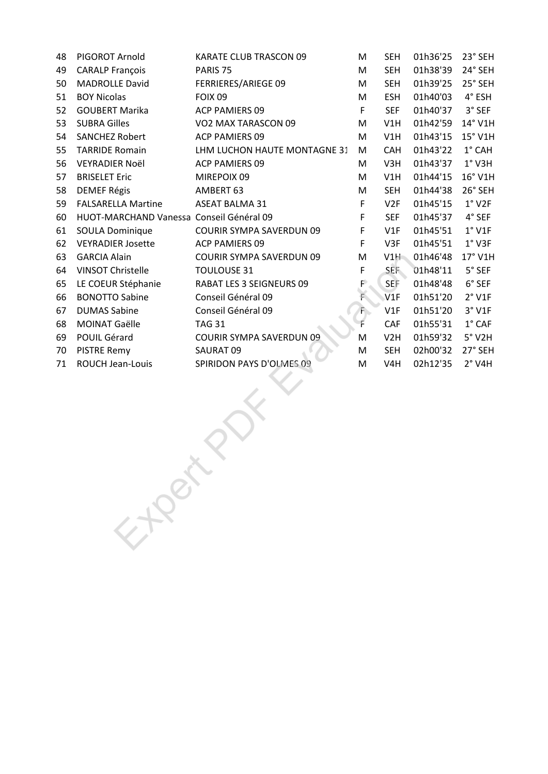| 48 | PIGOROT Arnold                           | KARATE CLUB TRASCON 09          | M           | <b>SEH</b>       | 01h36'25 | 23° SEH         |
|----|------------------------------------------|---------------------------------|-------------|------------------|----------|-----------------|
| 49 | <b>CARALP François</b>                   | PARIS <sub>75</sub>             | M           | <b>SEH</b>       | 01h38'39 | 24° SEH         |
| 50 | <b>MADROLLE David</b>                    | FERRIERES/ARIEGE 09             | M           | <b>SEH</b>       | 01h39'25 | 25° SEH         |
| 51 | <b>BOY Nicolas</b>                       | <b>FOIX 09</b>                  | M           | <b>ESH</b>       | 01h40'03 | 4° ESH          |
| 52 | <b>GOUBERT Marika</b>                    | <b>ACP PAMIERS 09</b>           | F           | <b>SEF</b>       | 01h40'37 | 3° SEF          |
| 53 | <b>SUBRA Gilles</b>                      | VO2 MAX TARASCON 09             | M           | V1H              | 01h42'59 | 14° V1H         |
| 54 | <b>SANCHEZ Robert</b>                    | ACP PAMIERS 09                  | M           | V1H              | 01h43'15 | 15° V1H         |
| 55 | <b>TARRIDE Romain</b>                    | LHM LUCHON HAUTE MONTAGNE 31    | M           | <b>CAH</b>       | 01h43'22 | $1^{\circ}$ CAH |
| 56 | <b>VEYRADIER Noël</b>                    | <b>ACP PAMIERS 09</b>           | M           | V3H              | 01h43'37 | $1°$ V3H        |
| 57 | <b>BRISELET Eric</b>                     | MIREPOIX 09                     | M           | V1H              | 01h44'15 | 16° V1H         |
| 58 | <b>DEMEF Régis</b>                       | AMBERT 63                       | M           | <b>SEH</b>       | 01h44'38 | 26° SEH         |
| 59 | <b>FALSARELLA Martine</b>                | <b>ASEAT BALMA 31</b>           | F           | V2F              | 01h45'15 | $1°$ V2F        |
| 60 | HUOT-MARCHAND Vanessa Conseil Général 09 |                                 | F           | <b>SEF</b>       | 01h45'37 | 4° SEF          |
| 61 | <b>SOULA Dominique</b>                   | <b>COURIR SYMPA SAVERDUN 09</b> | F           | V1F              | 01h45'51 | $1°$ V1F        |
| 62 | <b>VEYRADIER Josette</b>                 | <b>ACP PAMIERS 09</b>           | F           | V3F              | 01h45'51 | $1°$ V3F        |
| 63 | <b>GARCIA Alain</b>                      | COURIR SYMPA SAVERDUN 09        | M           | V1H              | 01h46'48 | 17° V1H         |
| 64 | <b>VINSOT Christelle</b>                 | <b>TOULOUSE 31</b>              | F           | SEF.             | 01h48'11 | 5° SEF          |
| 65 | LE COEUR Stéphanie                       | RABAT LES 3 SEIGNEURS 09        | $F^{\circ}$ | SEF              | 01h48'48 | 6° SEF          |
| 66 | <b>BONOTTO Sabine</b>                    | Conseil Général 09              | F.          | V1F              | 01h51'20 | $2°$ V1F        |
| 67 | <b>DUMAS Sabine</b>                      | Conseil Général 09              | $F_{\rm b}$ | V1F              | 01h51'20 | $3°$ V1F        |
| 68 | MOINAT Gaëlle                            | <b>TAG 31</b>                   | F           | CAF              | 01h55'31 | $1^\circ$ CAF   |
| 69 | POUIL Gérard                             | <b>COURIR SYMPA SAVERDUN 09</b> | M           | V <sub>2</sub> H | 01h59'32 | $5°$ V2H        |
| 70 | <b>PISTRE Remy</b>                       | SAURAT 09                       | M           | <b>SEH</b>       | 02h00'32 | 27° SEH         |
| 71 | ROUCH Jean-Louis                         | SPIRIDON PAYS D'OLMES 09        | M           | V4H              | 02h12'35 | $2°$ V4H        |
|    |                                          |                                 |             |                  |          |                 |
|    |                                          |                                 |             |                  |          |                 |
|    |                                          |                                 |             |                  |          |                 |
|    |                                          |                                 |             |                  |          |                 |
|    |                                          |                                 |             |                  |          |                 |
|    |                                          |                                 |             |                  |          |                 |
|    |                                          |                                 |             |                  |          |                 |
|    |                                          |                                 |             |                  |          |                 |
|    |                                          |                                 |             |                  |          |                 |
|    |                                          |                                 |             |                  |          |                 |
|    | EXPRESS                                  |                                 |             |                  |          |                 |
|    |                                          |                                 |             |                  |          |                 |
|    |                                          |                                 |             |                  |          |                 |